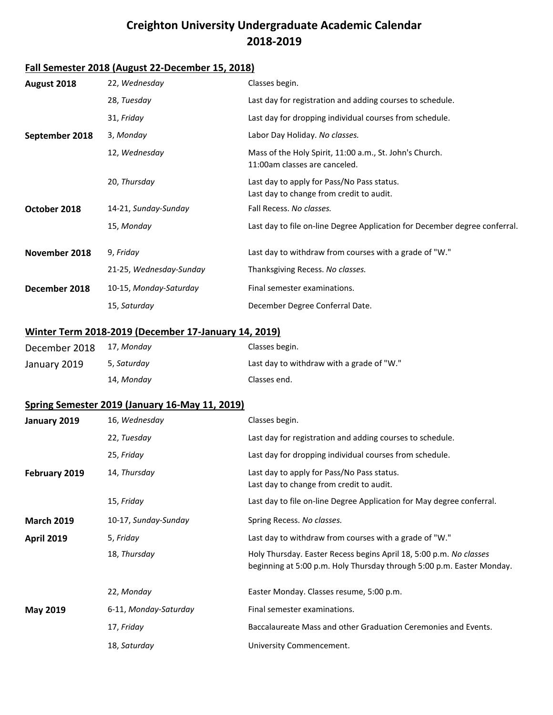## **Creighton University Undergraduate Academic Calendar 2018-2019**

## **Fall Semester 2018 (August 22-December 15, 2018)**

| August 2018       | 22, Wednesday                                               | Classes begin.                                                                                                                              |
|-------------------|-------------------------------------------------------------|---------------------------------------------------------------------------------------------------------------------------------------------|
|                   | 28, Tuesday                                                 | Last day for registration and adding courses to schedule.                                                                                   |
|                   | 31, Friday                                                  | Last day for dropping individual courses from schedule.                                                                                     |
| September 2018    | 3, Monday                                                   | Labor Day Holiday. No classes.                                                                                                              |
|                   | 12, Wednesday                                               | Mass of the Holy Spirit, 11:00 a.m., St. John's Church.<br>11:00am classes are canceled.                                                    |
|                   | 20, Thursday                                                | Last day to apply for Pass/No Pass status.<br>Last day to change from credit to audit.                                                      |
| October 2018      | 14-21, Sunday-Sunday                                        | Fall Recess. No classes.                                                                                                                    |
|                   | 15, Monday                                                  | Last day to file on-line Degree Application for December degree conferral.                                                                  |
| November 2018     | 9, Friday                                                   | Last day to withdraw from courses with a grade of "W."                                                                                      |
|                   | 21-25, Wednesday-Sunday                                     | Thanksgiving Recess. No classes.                                                                                                            |
| December 2018     | 10-15, Monday-Saturday                                      | Final semester examinations.                                                                                                                |
|                   | 15, Saturday                                                | December Degree Conferral Date.                                                                                                             |
|                   | <b>Winter Term 2018-2019 (December 17-January 14, 2019)</b> |                                                                                                                                             |
| December 2018     | 17, Monday                                                  | Classes begin.                                                                                                                              |
| January 2019      | 5, Saturday                                                 | Last day to withdraw with a grade of "W."                                                                                                   |
|                   | 14, Monday                                                  | Classes end.                                                                                                                                |
|                   | Spring Semester 2019 (January 16-May 11, 2019)              |                                                                                                                                             |
| January 2019      | 16, Wednesday                                               | Classes begin.                                                                                                                              |
|                   | 22, Tuesday                                                 | Last day for registration and adding courses to schedule.                                                                                   |
|                   | 25, Friday                                                  | Last day for dropping individual courses from schedule.                                                                                     |
| February 2019     | 14, Thursday                                                | Last day to apply for Pass/No Pass status.<br>Last day to change from credit to audit.                                                      |
|                   | 15, Friday                                                  | Last day to file on-line Degree Application for May degree conferral.                                                                       |
| <b>March 2019</b> | 10-17, Sunday-Sunday                                        | Spring Recess. No classes.                                                                                                                  |
| <b>April 2019</b> | 5, Friday                                                   | Last day to withdraw from courses with a grade of "W."                                                                                      |
|                   | 18, Thursday                                                | Holy Thursday. Easter Recess begins April 18, 5:00 p.m. No classes<br>beginning at 5:00 p.m. Holy Thursday through 5:00 p.m. Easter Monday. |
|                   | 22, Monday                                                  | Easter Monday. Classes resume, 5:00 p.m.                                                                                                    |
| May 2019          | 6-11, Monday-Saturday                                       | Final semester examinations.                                                                                                                |
|                   | 17, Friday                                                  | Baccalaureate Mass and other Graduation Ceremonies and Events.                                                                              |
|                   | 18, Saturday                                                | University Commencement.                                                                                                                    |